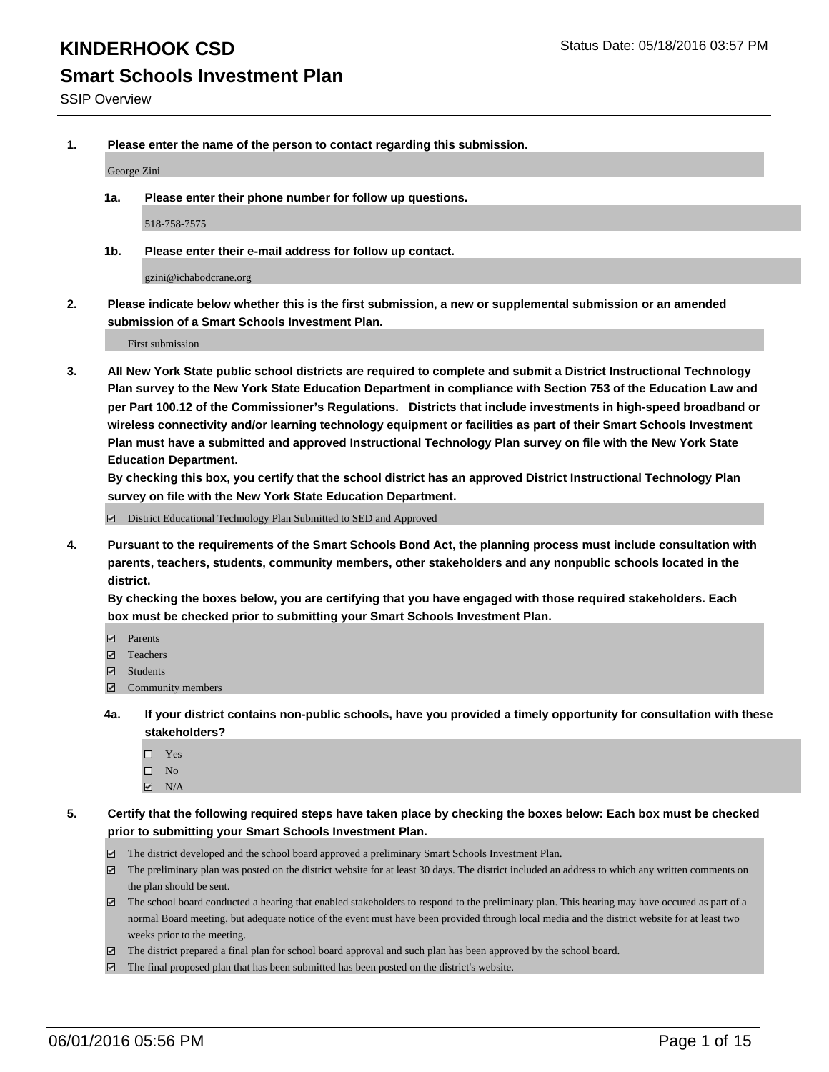# **Smart Schools Investment Plan**

**1. Please enter the name of the person to contact regarding this submission.**

George Zini

**1a. Please enter their phone number for follow up questions.**

518-758-7575

**1b. Please enter their e-mail address for follow up contact.**

gzini@ichabodcrane.org

**2. Please indicate below whether this is the first submission, a new or supplemental submission or an amended submission of a Smart Schools Investment Plan.**

First submission

**3. All New York State public school districts are required to complete and submit a District Instructional Technology Plan survey to the New York State Education Department in compliance with Section 753 of the Education Law and per Part 100.12 of the Commissioner's Regulations. Districts that include investments in high-speed broadband or wireless connectivity and/or learning technology equipment or facilities as part of their Smart Schools Investment Plan must have a submitted and approved Instructional Technology Plan survey on file with the New York State Education Department.** 

**By checking this box, you certify that the school district has an approved District Instructional Technology Plan survey on file with the New York State Education Department.**

■ District Educational Technology Plan Submitted to SED and Approved

**4. Pursuant to the requirements of the Smart Schools Bond Act, the planning process must include consultation with parents, teachers, students, community members, other stakeholders and any nonpublic schools located in the district.** 

**By checking the boxes below, you are certifying that you have engaged with those required stakeholders. Each box must be checked prior to submitting your Smart Schools Investment Plan.**

- **Parents**
- □ Teachers
- Students
- $\boxdot$  Community members
- **4a. If your district contains non-public schools, have you provided a timely opportunity for consultation with these stakeholders?**
	- □ Yes
	- $\square$  No
	- $\boxtimes$  N/A
- **5. Certify that the following required steps have taken place by checking the boxes below: Each box must be checked prior to submitting your Smart Schools Investment Plan.**
	- The district developed and the school board approved a preliminary Smart Schools Investment Plan.
	- The preliminary plan was posted on the district website for at least 30 days. The district included an address to which any written comments on the plan should be sent.
	- $\Box$  The school board conducted a hearing that enabled stakeholders to respond to the preliminary plan. This hearing may have occured as part of a normal Board meeting, but adequate notice of the event must have been provided through local media and the district website for at least two weeks prior to the meeting.
	- The district prepared a final plan for school board approval and such plan has been approved by the school board.
	- The final proposed plan that has been submitted has been posted on the district's website.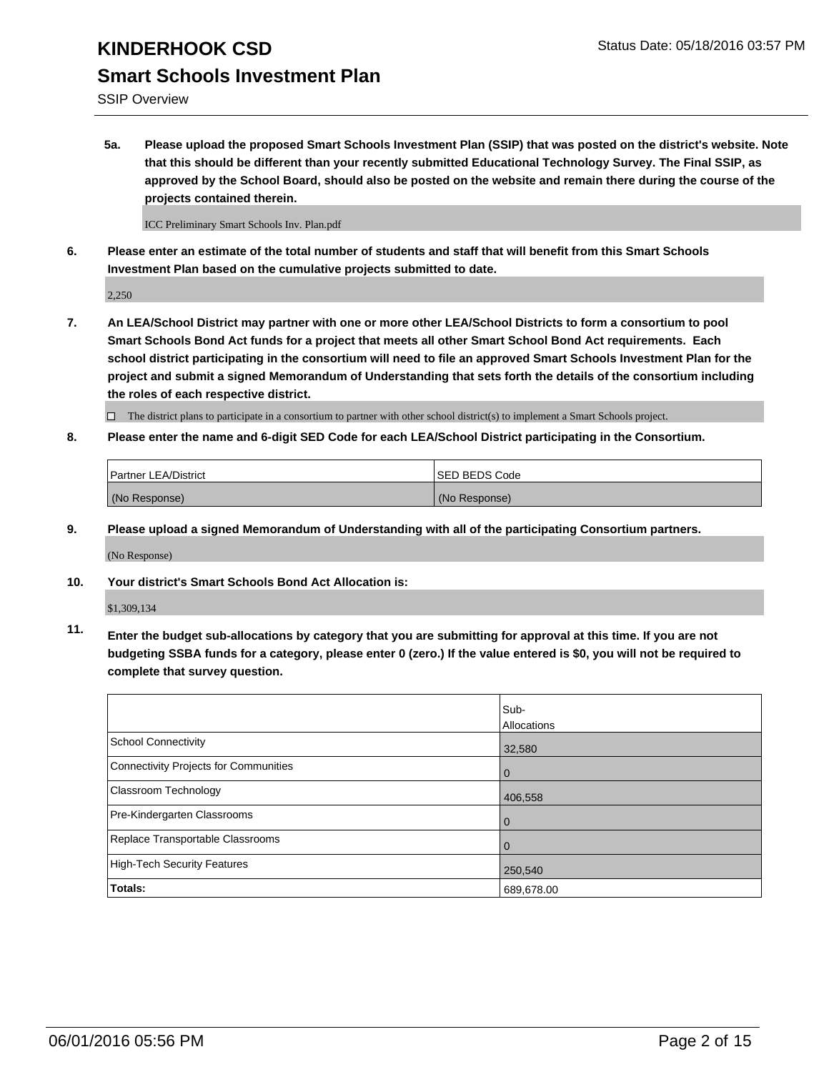SSIP Overview

**5a. Please upload the proposed Smart Schools Investment Plan (SSIP) that was posted on the district's website. Note that this should be different than your recently submitted Educational Technology Survey. The Final SSIP, as approved by the School Board, should also be posted on the website and remain there during the course of the projects contained therein.**

ICC Preliminary Smart Schools Inv. Plan.pdf

**6. Please enter an estimate of the total number of students and staff that will benefit from this Smart Schools Investment Plan based on the cumulative projects submitted to date.**

2,250

**7. An LEA/School District may partner with one or more other LEA/School Districts to form a consortium to pool Smart Schools Bond Act funds for a project that meets all other Smart School Bond Act requirements. Each school district participating in the consortium will need to file an approved Smart Schools Investment Plan for the project and submit a signed Memorandum of Understanding that sets forth the details of the consortium including the roles of each respective district.**

 $\Box$  The district plans to participate in a consortium to partner with other school district(s) to implement a Smart Schools project.

**8. Please enter the name and 6-digit SED Code for each LEA/School District participating in the Consortium.**

| <b>Partner LEA/District</b> | <b>ISED BEDS Code</b> |
|-----------------------------|-----------------------|
| (No Response)               | (No Response)         |

**9. Please upload a signed Memorandum of Understanding with all of the participating Consortium partners.**

(No Response)

**10. Your district's Smart Schools Bond Act Allocation is:**

\$1,309,134

**11. Enter the budget sub-allocations by category that you are submitting for approval at this time. If you are not budgeting SSBA funds for a category, please enter 0 (zero.) If the value entered is \$0, you will not be required to complete that survey question.**

|                                       | Sub-<br>Allocations |
|---------------------------------------|---------------------|
| <b>School Connectivity</b>            | 32,580              |
| Connectivity Projects for Communities | $\Omega$            |
| Classroom Technology                  | 406,558             |
| Pre-Kindergarten Classrooms           | $\Omega$            |
| Replace Transportable Classrooms      | $\Omega$            |
| <b>High-Tech Security Features</b>    | 250,540             |
| Totals:                               | 689,678.00          |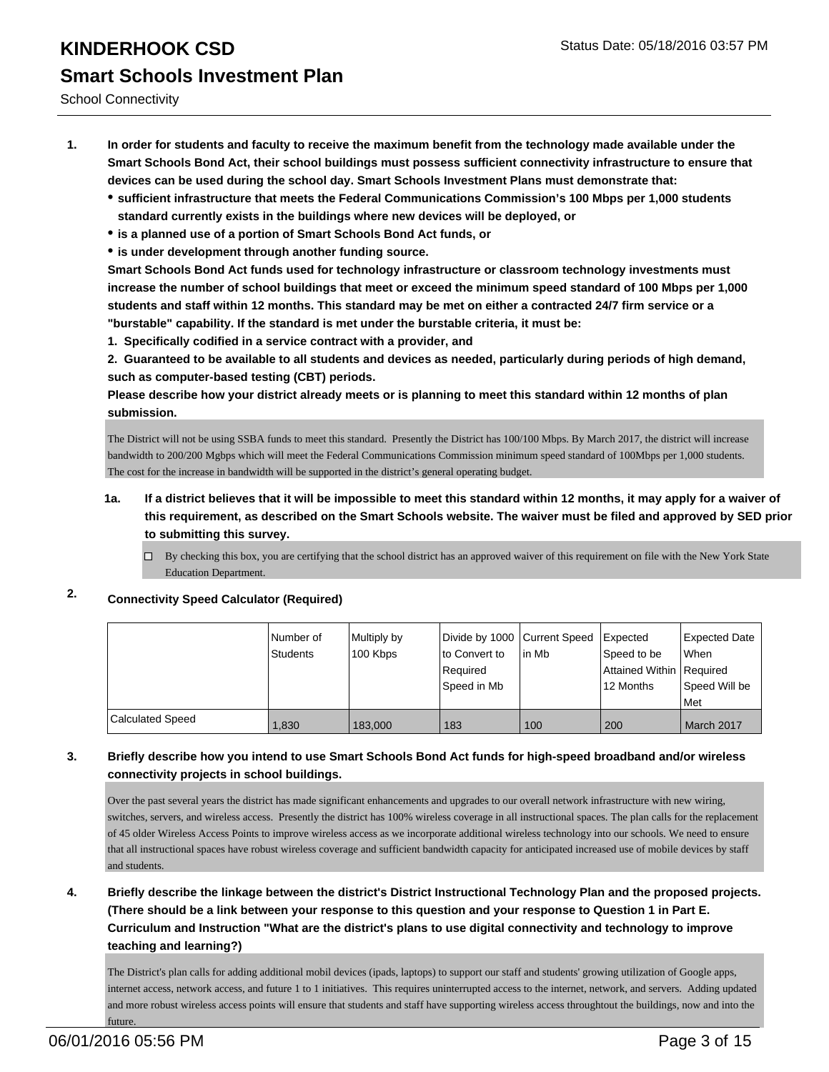School Connectivity

- **1. In order for students and faculty to receive the maximum benefit from the technology made available under the Smart Schools Bond Act, their school buildings must possess sufficient connectivity infrastructure to ensure that devices can be used during the school day. Smart Schools Investment Plans must demonstrate that:**
	- **sufficient infrastructure that meets the Federal Communications Commission's 100 Mbps per 1,000 students standard currently exists in the buildings where new devices will be deployed, or**
	- **is a planned use of a portion of Smart Schools Bond Act funds, or**
	- **is under development through another funding source.**

**Smart Schools Bond Act funds used for technology infrastructure or classroom technology investments must increase the number of school buildings that meet or exceed the minimum speed standard of 100 Mbps per 1,000 students and staff within 12 months. This standard may be met on either a contracted 24/7 firm service or a "burstable" capability. If the standard is met under the burstable criteria, it must be:**

**1. Specifically codified in a service contract with a provider, and**

**2. Guaranteed to be available to all students and devices as needed, particularly during periods of high demand, such as computer-based testing (CBT) periods.**

**Please describe how your district already meets or is planning to meet this standard within 12 months of plan submission.**

The District will not be using SSBA funds to meet this standard. Presently the District has 100/100 Mbps. By March 2017, the district will increase bandwidth to 200/200 Mgbps which will meet the Federal Communications Commission minimum speed standard of 100Mbps per 1,000 students. The cost for the increase in bandwidth will be supported in the district's general operating budget.

- **1a. If a district believes that it will be impossible to meet this standard within 12 months, it may apply for a waiver of this requirement, as described on the Smart Schools website. The waiver must be filed and approved by SED prior to submitting this survey.**
	- By checking this box, you are certifying that the school district has an approved waiver of this requirement on file with the New York State Education Department.

### **2. Connectivity Speed Calculator (Required)**

|                  | Number of<br>Students | Multiply by<br>100 Kbps | Divide by 1000 Current Speed<br>lto Convert to | lin Mb | <b>Expected</b><br>Speed to be | Expected Date<br>When |
|------------------|-----------------------|-------------------------|------------------------------------------------|--------|--------------------------------|-----------------------|
|                  |                       |                         | l Reauired                                     |        | Attained Within   Required     |                       |
|                  |                       |                         | Speed in Mb                                    |        | 12 Months                      | Speed Will be         |
|                  |                       |                         |                                                |        |                                | Met                   |
| Calculated Speed | 1,830                 | 183,000                 | 183                                            | 100    | 200                            | March 2017            |

### **3. Briefly describe how you intend to use Smart Schools Bond Act funds for high-speed broadband and/or wireless connectivity projects in school buildings.**

Over the past several years the district has made significant enhancements and upgrades to our overall network infrastructure with new wiring, switches, servers, and wireless access. Presently the district has 100% wireless coverage in all instructional spaces. The plan calls for the replacement of 45 older Wireless Access Points to improve wireless access as we incorporate additional wireless technology into our schools. We need to ensure that all instructional spaces have robust wireless coverage and sufficient bandwidth capacity for anticipated increased use of mobile devices by staff and students.

### **4. Briefly describe the linkage between the district's District Instructional Technology Plan and the proposed projects. (There should be a link between your response to this question and your response to Question 1 in Part E. Curriculum and Instruction "What are the district's plans to use digital connectivity and technology to improve teaching and learning?)**

The District's plan calls for adding additional mobil devices (ipads, laptops) to support our staff and students' growing utilization of Google apps, internet access, network access, and future 1 to 1 initiatives. This requires uninterrupted access to the internet, network, and servers. Adding updated and more robust wireless access points will ensure that students and staff have supporting wireless access throughtout the buildings, now and into the future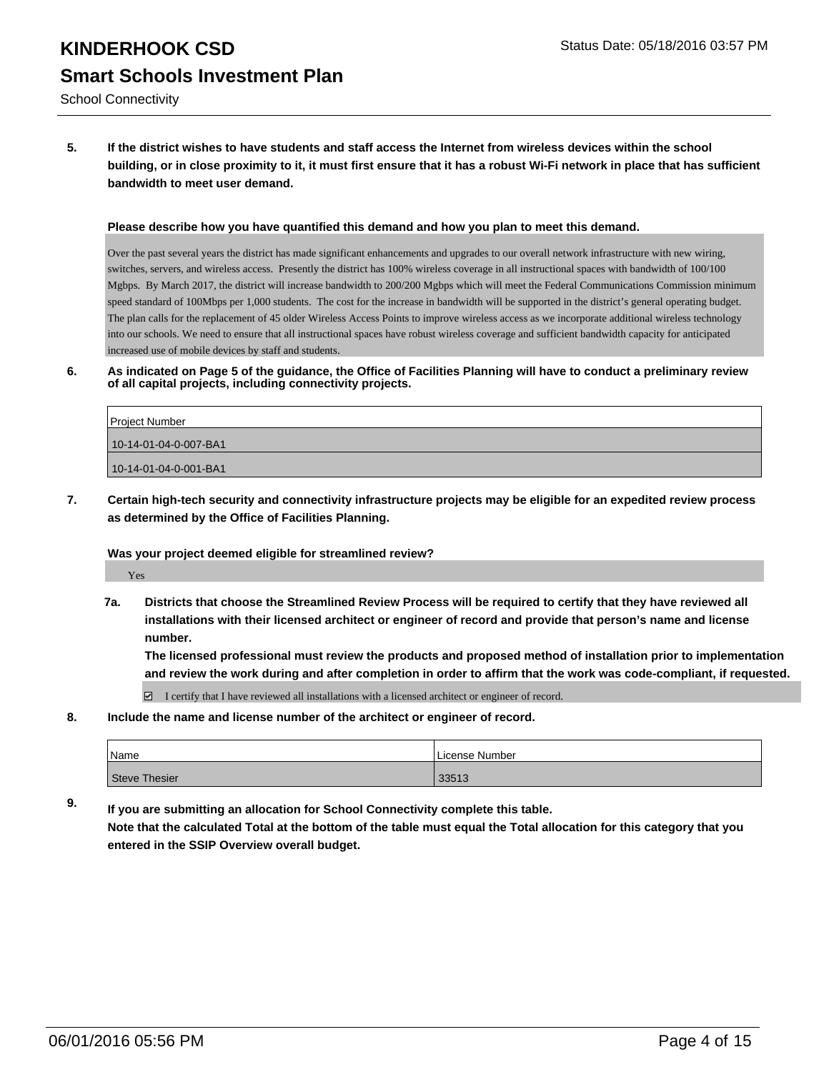### **5. If the district wishes to have students and staff access the Internet from wireless devices within the school building, or in close proximity to it, it must first ensure that it has a robust Wi-Fi network in place that has sufficient bandwidth to meet user demand.**

#### **Please describe how you have quantified this demand and how you plan to meet this demand.**

Over the past several years the district has made significant enhancements and upgrades to our overall network infrastructure with new wiring, switches, servers, and wireless access. Presently the district has 100% wireless coverage in all instructional spaces with bandwidth of 100/100 Mgbps. By March 2017, the district will increase bandwidth to 200/200 Mgbps which will meet the Federal Communications Commission minimum speed standard of 100Mbps per 1,000 students. The cost for the increase in bandwidth will be supported in the district's general operating budget. The plan calls for the replacement of 45 older Wireless Access Points to improve wireless access as we incorporate additional wireless technology into our schools. We need to ensure that all instructional spaces have robust wireless coverage and sufficient bandwidth capacity for anticipated increased use of mobile devices by staff and students.

**6. As indicated on Page 5 of the guidance, the Office of Facilities Planning will have to conduct a preliminary review of all capital projects, including connectivity projects.**

| Project Number        |  |
|-----------------------|--|
| 10-14-01-04-0-007-BA1 |  |
| 10-14-01-04-0-001-BA1 |  |

**7. Certain high-tech security and connectivity infrastructure projects may be eligible for an expedited review process as determined by the Office of Facilities Planning.**

#### **Was your project deemed eligible for streamlined review?**

Yes

**7a. Districts that choose the Streamlined Review Process will be required to certify that they have reviewed all installations with their licensed architect or engineer of record and provide that person's name and license number.**

**The licensed professional must review the products and proposed method of installation prior to implementation and review the work during and after completion in order to affirm that the work was code-compliant, if requested.**

 $\boxtimes$  I certify that I have reviewed all installations with a licensed architect or engineer of record.

**8. Include the name and license number of the architect or engineer of record.**

| <sup>1</sup> Name | License Number |  |  |
|-------------------|----------------|--|--|
| Steve Thesier     | 33513          |  |  |

**9. If you are submitting an allocation for School Connectivity complete this table.**

**Note that the calculated Total at the bottom of the table must equal the Total allocation for this category that you entered in the SSIP Overview overall budget.**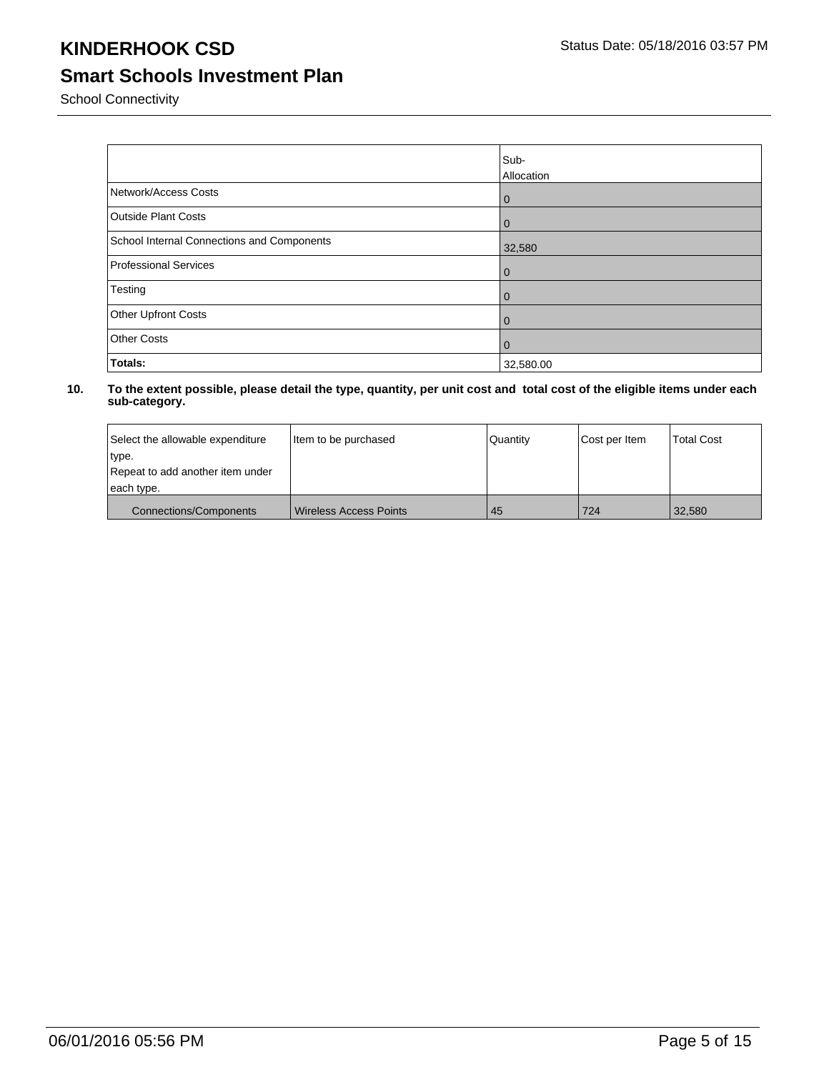### **Smart Schools Investment Plan**

School Connectivity

|                                            | Sub-<br>Allocation |
|--------------------------------------------|--------------------|
| Network/Access Costs                       | $\mathbf{0}$       |
| <b>Outside Plant Costs</b>                 | $\mathbf{0}$       |
| School Internal Connections and Components | 32,580             |
| Professional Services                      | $\mathbf{0}$       |
| Testing                                    | $\mathbf 0$        |
| Other Upfront Costs                        | $\mathbf 0$        |
| <b>Other Costs</b>                         | $\mathbf{0}$       |
| Totals:                                    | 32,580.00          |

| Select the allowable expenditure | litem to be purchased  | Quantity | Cost per Item | <b>Total Cost</b> |
|----------------------------------|------------------------|----------|---------------|-------------------|
| type.                            |                        |          |               |                   |
| Repeat to add another item under |                        |          |               |                   |
| each type.                       |                        |          |               |                   |
| <b>Connections/Components</b>    | Wireless Access Points | 45       | 724           | 32.580            |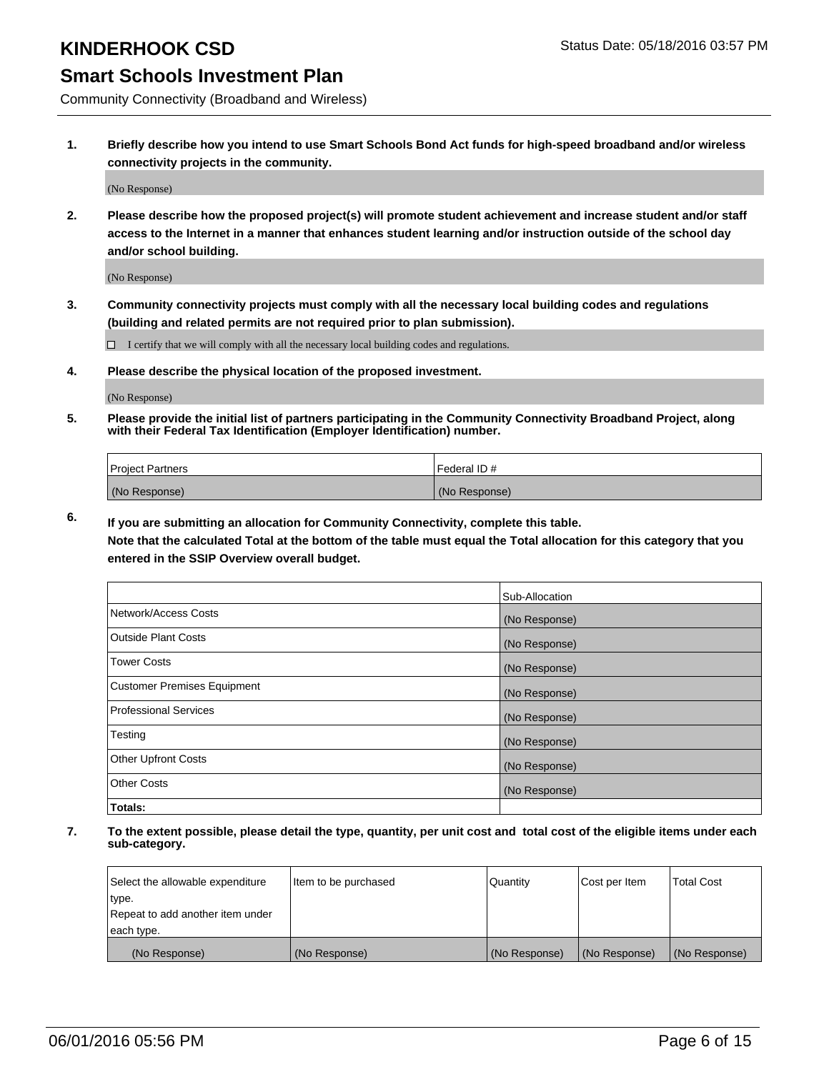### **Smart Schools Investment Plan**

Community Connectivity (Broadband and Wireless)

**1. Briefly describe how you intend to use Smart Schools Bond Act funds for high-speed broadband and/or wireless connectivity projects in the community.**

(No Response)

**2. Please describe how the proposed project(s) will promote student achievement and increase student and/or staff access to the Internet in a manner that enhances student learning and/or instruction outside of the school day and/or school building.**

(No Response)

**3. Community connectivity projects must comply with all the necessary local building codes and regulations (building and related permits are not required prior to plan submission).**

 $\Box$  I certify that we will comply with all the necessary local building codes and regulations.

**4. Please describe the physical location of the proposed investment.**

(No Response)

**5. Please provide the initial list of partners participating in the Community Connectivity Broadband Project, along with their Federal Tax Identification (Employer Identification) number.**

| <b>Project Partners</b> | <b>IFederal ID#</b> |
|-------------------------|---------------------|
| (No Response)           | (No Response)       |

**6. If you are submitting an allocation for Community Connectivity, complete this table.**

**Note that the calculated Total at the bottom of the table must equal the Total allocation for this category that you entered in the SSIP Overview overall budget.**

|                                    | Sub-Allocation |
|------------------------------------|----------------|
| Network/Access Costs               | (No Response)  |
| Outside Plant Costs                | (No Response)  |
| <b>Tower Costs</b>                 | (No Response)  |
| <b>Customer Premises Equipment</b> | (No Response)  |
| Professional Services              | (No Response)  |
| Testing                            | (No Response)  |
| <b>Other Upfront Costs</b>         | (No Response)  |
| <b>Other Costs</b>                 | (No Response)  |
| Totals:                            |                |

| Select the allowable expenditure | litem to be purchased | Quantity      | Cost per Item | <b>Total Cost</b> |
|----------------------------------|-----------------------|---------------|---------------|-------------------|
| type.                            |                       |               |               |                   |
| Repeat to add another item under |                       |               |               |                   |
| each type.                       |                       |               |               |                   |
| (No Response)                    | (No Response)         | (No Response) | (No Response) | (No Response)     |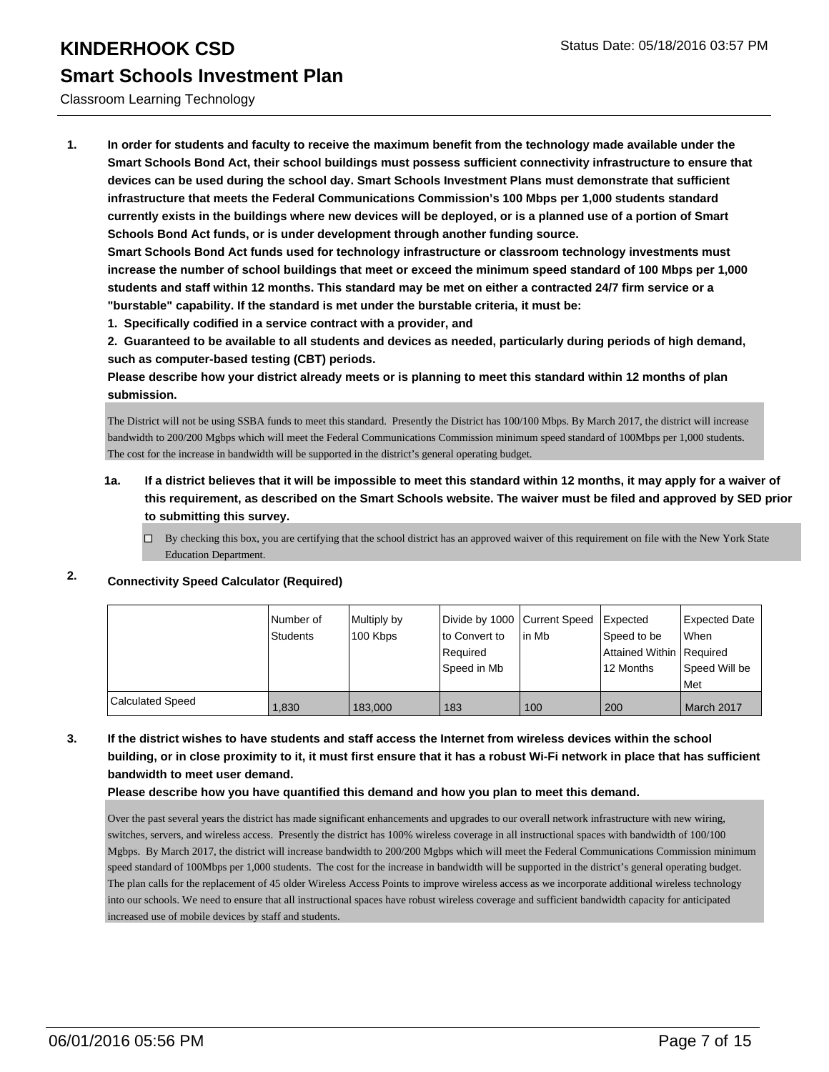#### Classroom Learning Technology

**1. In order for students and faculty to receive the maximum benefit from the technology made available under the Smart Schools Bond Act, their school buildings must possess sufficient connectivity infrastructure to ensure that devices can be used during the school day. Smart Schools Investment Plans must demonstrate that sufficient infrastructure that meets the Federal Communications Commission's 100 Mbps per 1,000 students standard currently exists in the buildings where new devices will be deployed, or is a planned use of a portion of Smart Schools Bond Act funds, or is under development through another funding source.**

**Smart Schools Bond Act funds used for technology infrastructure or classroom technology investments must increase the number of school buildings that meet or exceed the minimum speed standard of 100 Mbps per 1,000 students and staff within 12 months. This standard may be met on either a contracted 24/7 firm service or a "burstable" capability. If the standard is met under the burstable criteria, it must be:**

**1. Specifically codified in a service contract with a provider, and**

**2. Guaranteed to be available to all students and devices as needed, particularly during periods of high demand, such as computer-based testing (CBT) periods.**

**Please describe how your district already meets or is planning to meet this standard within 12 months of plan submission.**

The District will not be using SSBA funds to meet this standard. Presently the District has 100/100 Mbps. By March 2017, the district will increase bandwidth to 200/200 Mgbps which will meet the Federal Communications Commission minimum speed standard of 100Mbps per 1,000 students. The cost for the increase in bandwidth will be supported in the district's general operating budget.

### **1a. If a district believes that it will be impossible to meet this standard within 12 months, it may apply for a waiver of this requirement, as described on the Smart Schools website. The waiver must be filed and approved by SED prior to submitting this survey.**

 $\Box$  By checking this box, you are certifying that the school district has an approved waiver of this requirement on file with the New York State Education Department.

### **2. Connectivity Speed Calculator (Required)**

|                         | l Number of<br>Students | Multiply by<br>100 Kbps | Divide by 1000 Current Speed<br>Ito Convert to<br>Required<br>lSpeed in Mb | lin Mb | <b>Expected</b><br>Speed to be<br>Attained Within   Required<br>12 Months | Expected Date<br><b>When</b><br>Speed Will be<br><b>Met</b> |
|-------------------------|-------------------------|-------------------------|----------------------------------------------------------------------------|--------|---------------------------------------------------------------------------|-------------------------------------------------------------|
| <b>Calculated Speed</b> | 1.830                   | 183,000                 | 183                                                                        | 100    | 200                                                                       | March 2017                                                  |

### **3. If the district wishes to have students and staff access the Internet from wireless devices within the school building, or in close proximity to it, it must first ensure that it has a robust Wi-Fi network in place that has sufficient bandwidth to meet user demand.**

#### **Please describe how you have quantified this demand and how you plan to meet this demand.**

Over the past several years the district has made significant enhancements and upgrades to our overall network infrastructure with new wiring, switches, servers, and wireless access. Presently the district has 100% wireless coverage in all instructional spaces with bandwidth of 100/100 Mgbps. By March 2017, the district will increase bandwidth to 200/200 Mgbps which will meet the Federal Communications Commission minimum speed standard of 100Mbps per 1,000 students. The cost for the increase in bandwidth will be supported in the district's general operating budget. The plan calls for the replacement of 45 older Wireless Access Points to improve wireless access as we incorporate additional wireless technology into our schools. We need to ensure that all instructional spaces have robust wireless coverage and sufficient bandwidth capacity for anticipated increased use of mobile devices by staff and students.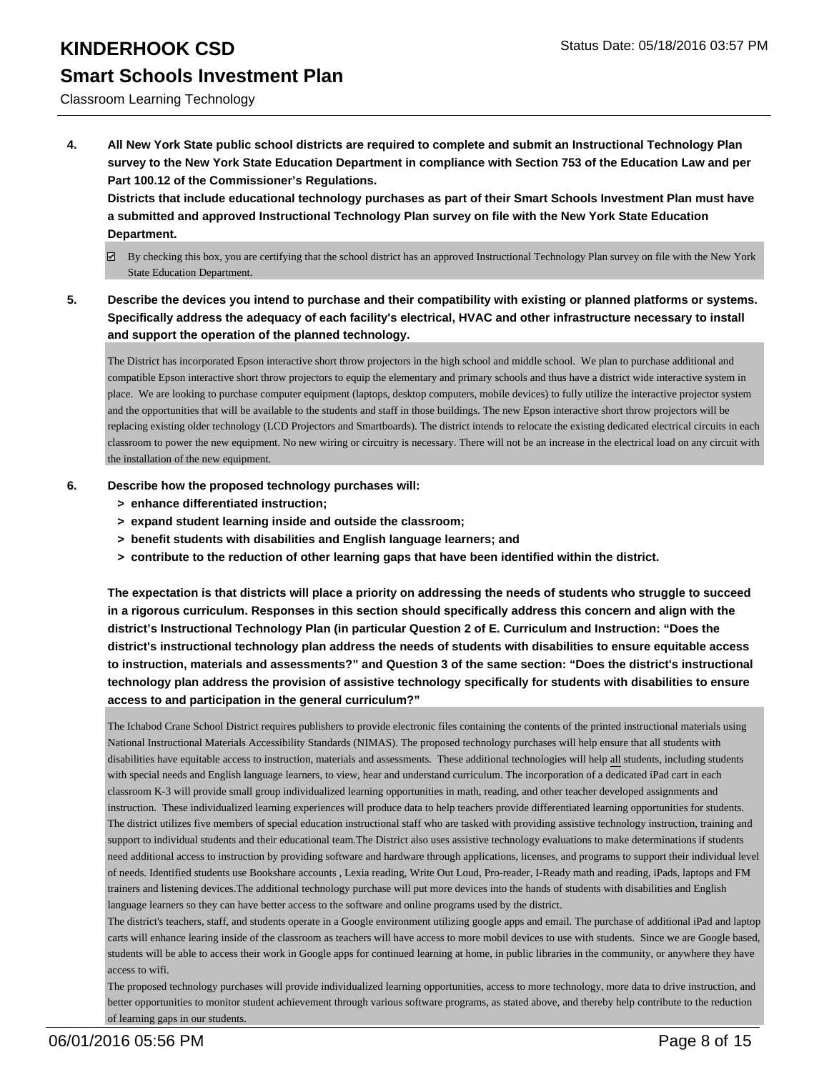# Classroom Learning Technology

**4. All New York State public school districts are required to complete and submit an Instructional Technology Plan survey to the New York State Education Department in compliance with Section 753 of the Education Law and per Part 100.12 of the Commissioner's Regulations.**

**Districts that include educational technology purchases as part of their Smart Schools Investment Plan must have a submitted and approved Instructional Technology Plan survey on file with the New York State Education Department.**

- $\boxtimes$  By checking this box, you are certifying that the school district has an approved Instructional Technology Plan survey on file with the New York State Education Department.
- **5. Describe the devices you intend to purchase and their compatibility with existing or planned platforms or systems. Specifically address the adequacy of each facility's electrical, HVAC and other infrastructure necessary to install and support the operation of the planned technology.**

The District has incorporated Epson interactive short throw projectors in the high school and middle school. We plan to purchase additional and compatible Epson interactive short throw projectors to equip the elementary and primary schools and thus have a district wide interactive system in place. We are looking to purchase computer equipment (laptops, desktop computers, mobile devices) to fully utilize the interactive projector system and the opportunities that will be available to the students and staff in those buildings. The new Epson interactive short throw projectors will be replacing existing older technology (LCD Projectors and Smartboards). The district intends to relocate the existing dedicated electrical circuits in each classroom to power the new equipment. No new wiring or circuitry is necessary. There will not be an increase in the electrical load on any circuit with the installation of the new equipment.

- **6. Describe how the proposed technology purchases will:**
	- **> enhance differentiated instruction;**
	- **> expand student learning inside and outside the classroom;**
	- **> benefit students with disabilities and English language learners; and**
	- **> contribute to the reduction of other learning gaps that have been identified within the district.**

**The expectation is that districts will place a priority on addressing the needs of students who struggle to succeed in a rigorous curriculum. Responses in this section should specifically address this concern and align with the district's Instructional Technology Plan (in particular Question 2 of E. Curriculum and Instruction: "Does the district's instructional technology plan address the needs of students with disabilities to ensure equitable access to instruction, materials and assessments?" and Question 3 of the same section: "Does the district's instructional technology plan address the provision of assistive technology specifically for students with disabilities to ensure access to and participation in the general curriculum?"**

The Ichabod Crane School District requires publishers to provide electronic files containing the contents of the printed instructional materials using National Instructional Materials Accessibility Standards (NIMAS). The proposed technology purchases will help ensure that all students with disabilities have equitable access to instruction, materials and assessments. These additional technologies will help all students, including students with special needs and English language learners, to view, hear and understand curriculum. The incorporation of a dedicated iPad cart in each classroom K-3 will provide small group individualized learning opportunities in math, reading, and other teacher developed assignments and instruction. These individualized learning experiences will produce data to help teachers provide differentiated learning opportunities for students. The district utilizes five members of special education instructional staff who are tasked with providing assistive technology instruction, training and support to individual students and their educational team.The District also uses assistive technology evaluations to make determinations if students need additional access to instruction by providing software and hardware through applications, licenses, and programs to support their individual level of needs. Identified students use Bookshare accounts , Lexia reading, Write Out Loud, Pro-reader, I-Ready math and reading, iPads, laptops and FM trainers and listening devices.The additional technology purchase will put more devices into the hands of students with disabilities and English language learners so they can have better access to the software and online programs used by the district.

The district's teachers, staff, and students operate in a Google environment utilizing google apps and email. The purchase of additional iPad and laptop carts will enhance learing inside of the classroom as teachers will have access to more mobil devices to use with students. Since we are Google based, students will be able to access their work in Google apps for continued learning at home, in public libraries in the community, or anywhere they have access to wifi.

The proposed technology purchases will provide individualized learning opportunities, access to more technology, more data to drive instruction, and better opportunities to monitor student achievement through various software programs, as stated above, and thereby help contribute to the reduction of learning gaps in our students.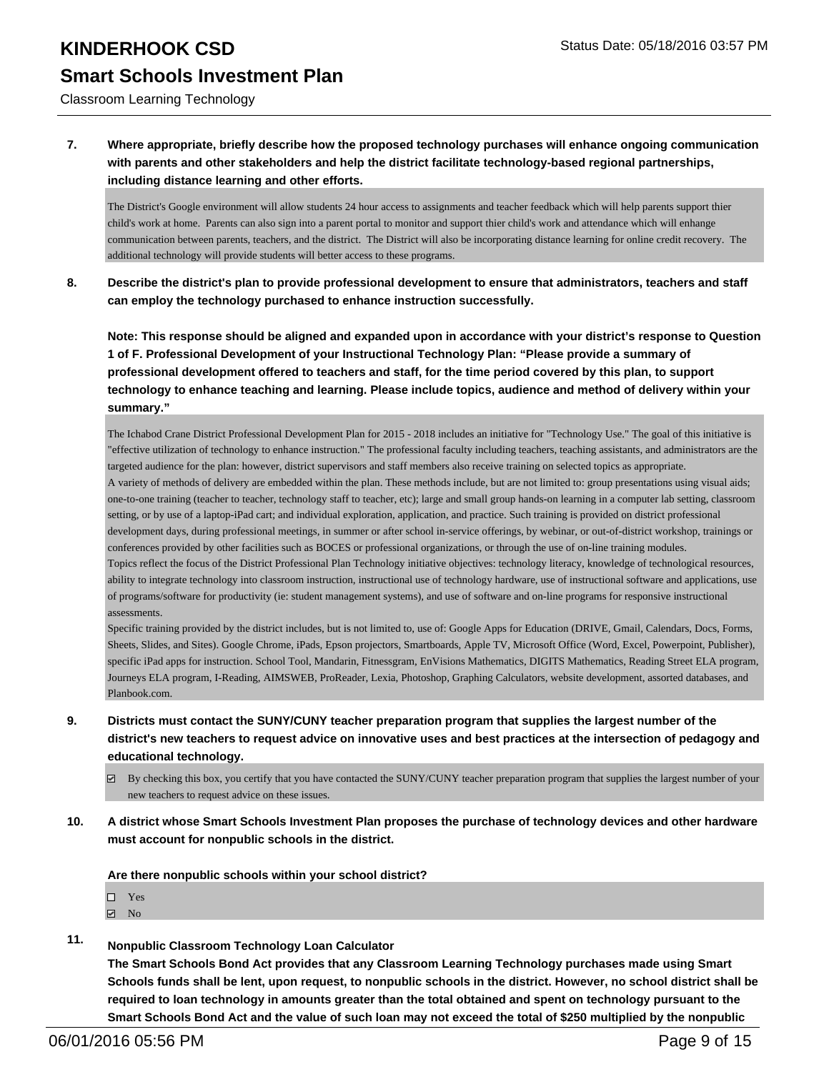Classroom Learning Technology

### **7. Where appropriate, briefly describe how the proposed technology purchases will enhance ongoing communication with parents and other stakeholders and help the district facilitate technology-based regional partnerships, including distance learning and other efforts.**

The District's Google environment will allow students 24 hour access to assignments and teacher feedback which will help parents support thier child's work at home. Parents can also sign into a parent portal to monitor and support thier child's work and attendance which will enhange communication between parents, teachers, and the district. The District will also be incorporating distance learning for online credit recovery. The additional technology will provide students will better access to these programs.

**8. Describe the district's plan to provide professional development to ensure that administrators, teachers and staff can employ the technology purchased to enhance instruction successfully.**

**Note: This response should be aligned and expanded upon in accordance with your district's response to Question 1 of F. Professional Development of your Instructional Technology Plan: "Please provide a summary of professional development offered to teachers and staff, for the time period covered by this plan, to support technology to enhance teaching and learning. Please include topics, audience and method of delivery within your summary."**

The Ichabod Crane District Professional Development Plan for 2015 - 2018 includes an initiative for "Technology Use." The goal of this initiative is "effective utilization of technology to enhance instruction." The professional faculty including teachers, teaching assistants, and administrators are the targeted audience for the plan: however, district supervisors and staff members also receive training on selected topics as appropriate. A variety of methods of delivery are embedded within the plan. These methods include, but are not limited to: group presentations using visual aids; one-to-one training (teacher to teacher, technology staff to teacher, etc); large and small group hands-on learning in a computer lab setting, classroom setting, or by use of a laptop-iPad cart; and individual exploration, application, and practice. Such training is provided on district professional development days, during professional meetings, in summer or after school in-service offerings, by webinar, or out-of-district workshop, trainings or conferences provided by other facilities such as BOCES or professional organizations, or through the use of on-line training modules. Topics reflect the focus of the District Professional Plan Technology initiative objectives: technology literacy, knowledge of technological resources, ability to integrate technology into classroom instruction, instructional use of technology hardware, use of instructional software and applications, use of programs/software for productivity (ie: student management systems), and use of software and on-line programs for responsive instructional assessments.

Specific training provided by the district includes, but is not limited to, use of: Google Apps for Education (DRIVE, Gmail, Calendars, Docs, Forms, Sheets, Slides, and Sites). Google Chrome, iPads, Epson projectors, Smartboards, Apple TV, Microsoft Office (Word, Excel, Powerpoint, Publisher), specific iPad apps for instruction. School Tool, Mandarin, Fitnessgram, EnVisions Mathematics, DIGITS Mathematics, Reading Street ELA program, Journeys ELA program, I-Reading, AIMSWEB, ProReader, Lexia, Photoshop, Graphing Calculators, website development, assorted databases, and Planbook.com.

- **9. Districts must contact the SUNY/CUNY teacher preparation program that supplies the largest number of the district's new teachers to request advice on innovative uses and best practices at the intersection of pedagogy and educational technology.**
	- $\boxtimes$  By checking this box, you certify that you have contacted the SUNY/CUNY teacher preparation program that supplies the largest number of your new teachers to request advice on these issues.
- **10. A district whose Smart Schools Investment Plan proposes the purchase of technology devices and other hardware must account for nonpublic schools in the district.**

**Are there nonpublic schools within your school district?**

- □ Yes
- $\boxtimes$  No
- **11. Nonpublic Classroom Technology Loan Calculator**

**The Smart Schools Bond Act provides that any Classroom Learning Technology purchases made using Smart Schools funds shall be lent, upon request, to nonpublic schools in the district. However, no school district shall be required to loan technology in amounts greater than the total obtained and spent on technology pursuant to the Smart Schools Bond Act and the value of such loan may not exceed the total of \$250 multiplied by the nonpublic**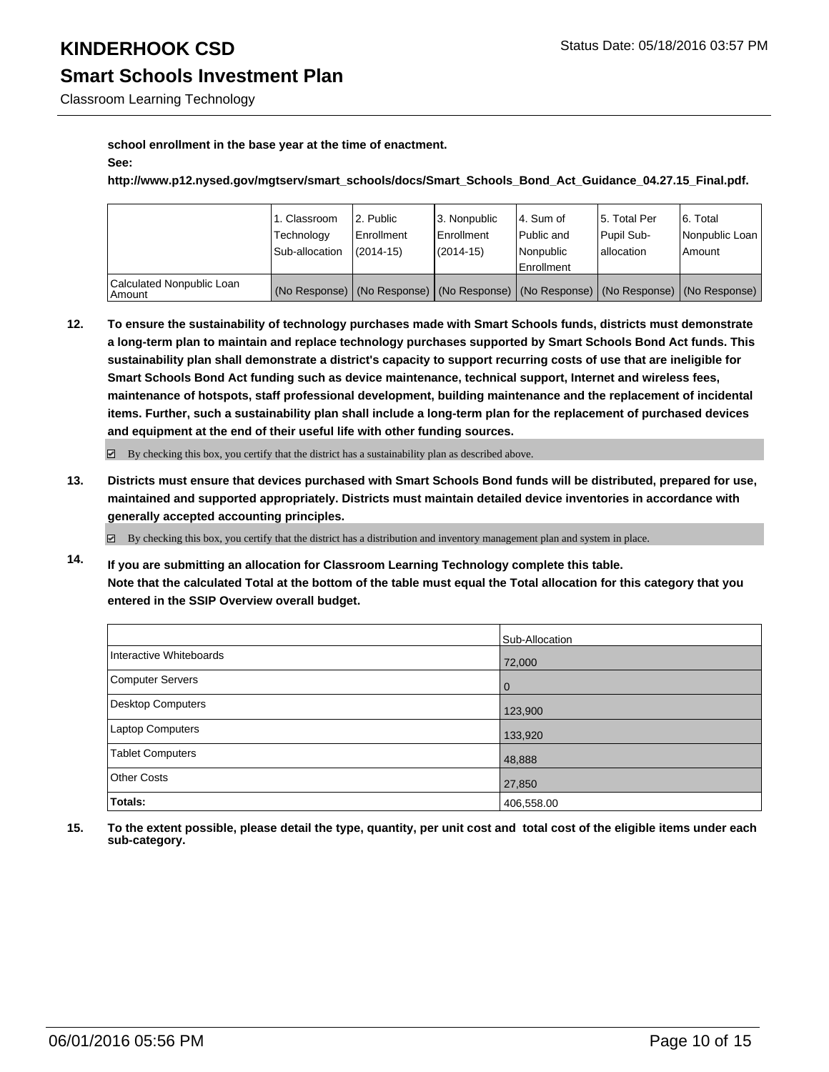Classroom Learning Technology

#### **school enrollment in the base year at the time of enactment. See:**

**http://www.p12.nysed.gov/mgtserv/smart\_schools/docs/Smart\_Schools\_Bond\_Act\_Guidance\_04.27.15\_Final.pdf.**

|                                       | 1. Classroom   | 2. Public                                                                                     | l 3. Nonpublic | 4. Sum of         | 15. Total Per | 6. Total       |
|---------------------------------------|----------------|-----------------------------------------------------------------------------------------------|----------------|-------------------|---------------|----------------|
|                                       | Technology     | Enrollment                                                                                    | Enrollment     | Public and        | Pupil Sub-    | Nonpublic Loan |
|                                       | Sub-allocation | $(2014 - 15)$                                                                                 | (2014-15)      | Nonpublic         | lallocation   | l Amount       |
|                                       |                |                                                                                               |                | <b>Enrollment</b> |               |                |
| Calculated Nonpublic Loan<br>  Amount |                | (No Response)   (No Response)   (No Response)   (No Response)   (No Response)   (No Response) |                |                   |               |                |

**12. To ensure the sustainability of technology purchases made with Smart Schools funds, districts must demonstrate a long-term plan to maintain and replace technology purchases supported by Smart Schools Bond Act funds. This sustainability plan shall demonstrate a district's capacity to support recurring costs of use that are ineligible for Smart Schools Bond Act funding such as device maintenance, technical support, Internet and wireless fees, maintenance of hotspots, staff professional development, building maintenance and the replacement of incidental items. Further, such a sustainability plan shall include a long-term plan for the replacement of purchased devices and equipment at the end of their useful life with other funding sources.**

 $\boxtimes$  By checking this box, you certify that the district has a sustainability plan as described above.

**13. Districts must ensure that devices purchased with Smart Schools Bond funds will be distributed, prepared for use, maintained and supported appropriately. Districts must maintain detailed device inventories in accordance with generally accepted accounting principles.**

 $\boxtimes$  By checking this box, you certify that the district has a distribution and inventory management plan and system in place.

**14. If you are submitting an allocation for Classroom Learning Technology complete this table. Note that the calculated Total at the bottom of the table must equal the Total allocation for this category that you entered in the SSIP Overview overall budget.**

|                          | Sub-Allocation |
|--------------------------|----------------|
| Interactive Whiteboards  | 72,000         |
| <b>Computer Servers</b>  | 0              |
| <b>Desktop Computers</b> | 123,900        |
| Laptop Computers         | 133,920        |
| <b>Tablet Computers</b>  | 48,888         |
| <b>Other Costs</b>       | 27,850         |
| Totals:                  | 406,558.00     |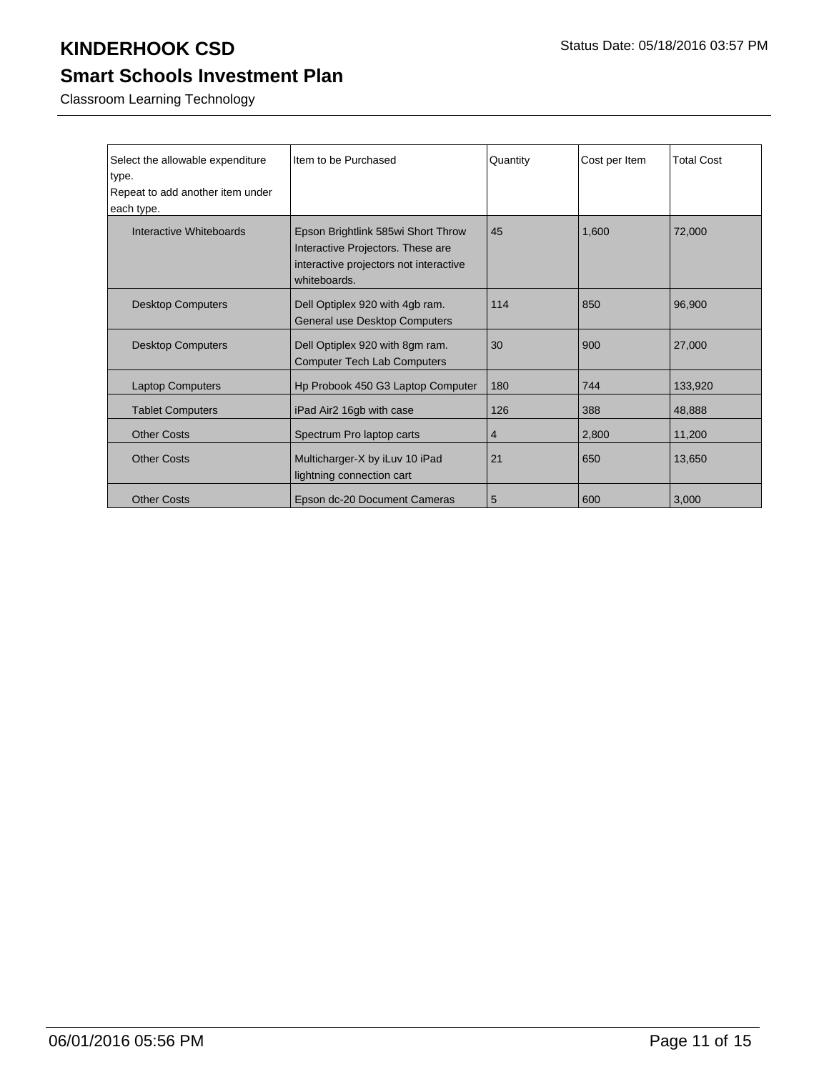## **Smart Schools Investment Plan**

Classroom Learning Technology

| Select the allowable expenditure<br>type.<br>Repeat to add another item under<br>each type. | Item to be Purchased                                                                                                              | Quantity | Cost per Item | <b>Total Cost</b> |
|---------------------------------------------------------------------------------------------|-----------------------------------------------------------------------------------------------------------------------------------|----------|---------------|-------------------|
| Interactive Whiteboards                                                                     | Epson Brightlink 585wi Short Throw<br>Interactive Projectors. These are<br>interactive projectors not interactive<br>whiteboards. | 45       | 1,600         | 72,000            |
| <b>Desktop Computers</b>                                                                    | Dell Optiplex 920 with 4gb ram.<br>General use Desktop Computers                                                                  | 114      | 850           | 96,900            |
| <b>Desktop Computers</b>                                                                    | Dell Optiplex 920 with 8gm ram.<br><b>Computer Tech Lab Computers</b>                                                             | 30       | 900           | 27,000            |
| <b>Laptop Computers</b>                                                                     | Hp Probook 450 G3 Laptop Computer                                                                                                 | 180      | 744           | 133.920           |
| <b>Tablet Computers</b>                                                                     | iPad Air2 16gb with case                                                                                                          | 126      | 388           | 48,888            |
| <b>Other Costs</b>                                                                          | Spectrum Pro laptop carts                                                                                                         | 4        | 2,800         | 11,200            |
| <b>Other Costs</b>                                                                          | Multicharger-X by iLuv 10 iPad<br>lightning connection cart                                                                       | 21       | 650           | 13,650            |
| <b>Other Costs</b>                                                                          | Epson dc-20 Document Cameras                                                                                                      | 5        | 600           | 3,000             |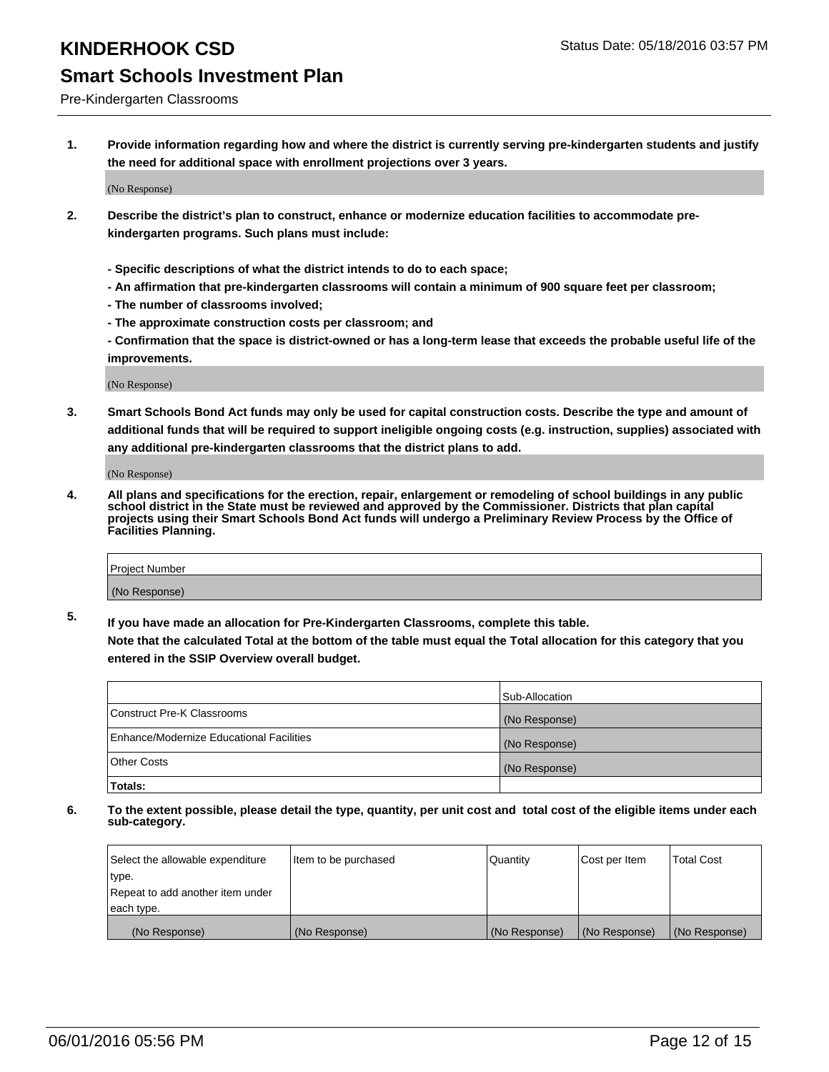#### Pre-Kindergarten Classrooms

**1. Provide information regarding how and where the district is currently serving pre-kindergarten students and justify the need for additional space with enrollment projections over 3 years.**

(No Response)

- **2. Describe the district's plan to construct, enhance or modernize education facilities to accommodate prekindergarten programs. Such plans must include:**
	- **Specific descriptions of what the district intends to do to each space;**
	- **An affirmation that pre-kindergarten classrooms will contain a minimum of 900 square feet per classroom;**
	- **The number of classrooms involved;**
	- **The approximate construction costs per classroom; and**
	- **Confirmation that the space is district-owned or has a long-term lease that exceeds the probable useful life of the improvements.**

(No Response)

**3. Smart Schools Bond Act funds may only be used for capital construction costs. Describe the type and amount of additional funds that will be required to support ineligible ongoing costs (e.g. instruction, supplies) associated with any additional pre-kindergarten classrooms that the district plans to add.**

(No Response)

**4. All plans and specifications for the erection, repair, enlargement or remodeling of school buildings in any public school district in the State must be reviewed and approved by the Commissioner. Districts that plan capital projects using their Smart Schools Bond Act funds will undergo a Preliminary Review Process by the Office of Facilities Planning.**

| Project Number |  |
|----------------|--|
| (No Response)  |  |

**5. If you have made an allocation for Pre-Kindergarten Classrooms, complete this table. Note that the calculated Total at the bottom of the table must equal the Total allocation for this category that you**

**entered in the SSIP Overview overall budget.**

| <b>Totals:</b>                           |                |
|------------------------------------------|----------------|
| Other Costs                              | (No Response)  |
| Enhance/Modernize Educational Facilities | (No Response)  |
| Construct Pre-K Classrooms               | (No Response)  |
|                                          | Sub-Allocation |

| Select the allowable expenditure | Item to be purchased | Quantity      | Cost per Item | <b>Total Cost</b> |
|----------------------------------|----------------------|---------------|---------------|-------------------|
| type.                            |                      |               |               |                   |
| Repeat to add another item under |                      |               |               |                   |
| each type.                       |                      |               |               |                   |
| (No Response)                    | (No Response)        | (No Response) | (No Response) | (No Response)     |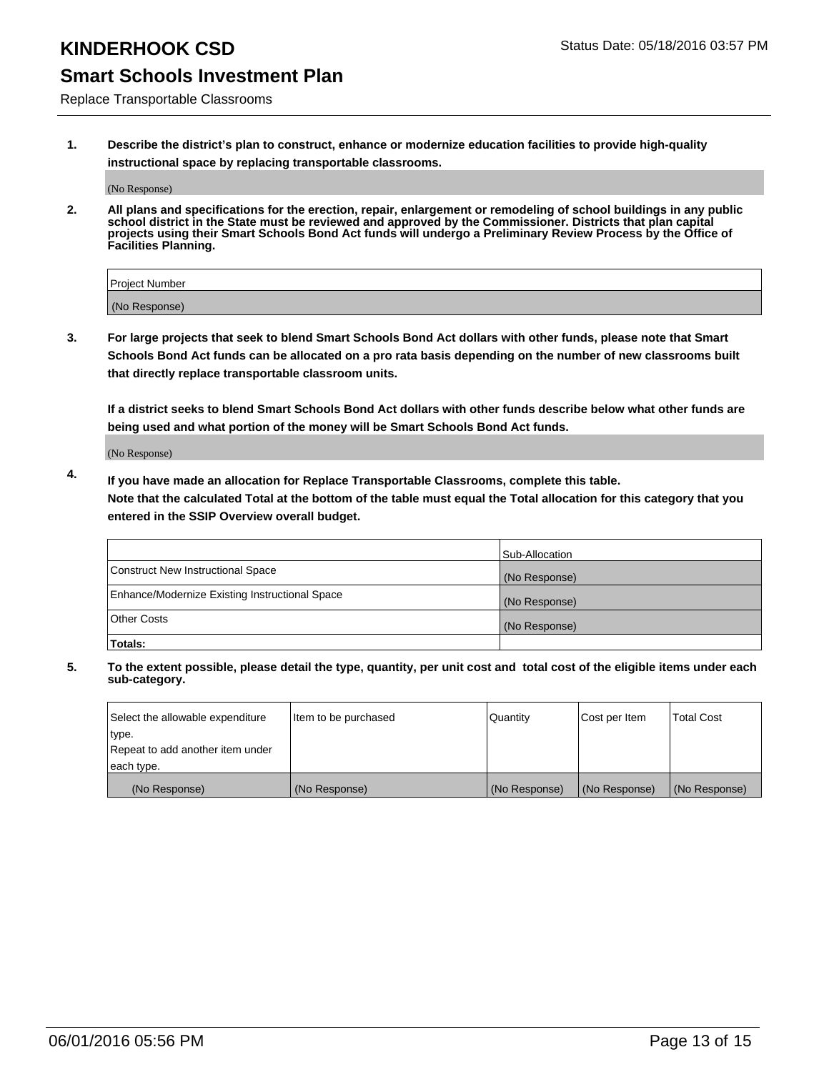### **Smart Schools Investment Plan**

Replace Transportable Classrooms

**1. Describe the district's plan to construct, enhance or modernize education facilities to provide high-quality instructional space by replacing transportable classrooms.**

(No Response)

**2. All plans and specifications for the erection, repair, enlargement or remodeling of school buildings in any public school district in the State must be reviewed and approved by the Commissioner. Districts that plan capital projects using their Smart Schools Bond Act funds will undergo a Preliminary Review Process by the Office of Facilities Planning.**

| Project Number |  |
|----------------|--|
| (No Response)  |  |

**3. For large projects that seek to blend Smart Schools Bond Act dollars with other funds, please note that Smart Schools Bond Act funds can be allocated on a pro rata basis depending on the number of new classrooms built that directly replace transportable classroom units.**

**If a district seeks to blend Smart Schools Bond Act dollars with other funds describe below what other funds are being used and what portion of the money will be Smart Schools Bond Act funds.**

(No Response)

**4. If you have made an allocation for Replace Transportable Classrooms, complete this table. Note that the calculated Total at the bottom of the table must equal the Total allocation for this category that you entered in the SSIP Overview overall budget.**

|                                                | Sub-Allocation |
|------------------------------------------------|----------------|
| Construct New Instructional Space              | (No Response)  |
| Enhance/Modernize Existing Instructional Space | (No Response)  |
| <b>Other Costs</b>                             | (No Response)  |
| Totals:                                        |                |

| Select the allowable expenditure | Item to be purchased | <b>Quantity</b> | Cost per Item | <b>Total Cost</b> |
|----------------------------------|----------------------|-----------------|---------------|-------------------|
| type.                            |                      |                 |               |                   |
| Repeat to add another item under |                      |                 |               |                   |
| each type.                       |                      |                 |               |                   |
| (No Response)                    | (No Response)        | (No Response)   | (No Response) | (No Response)     |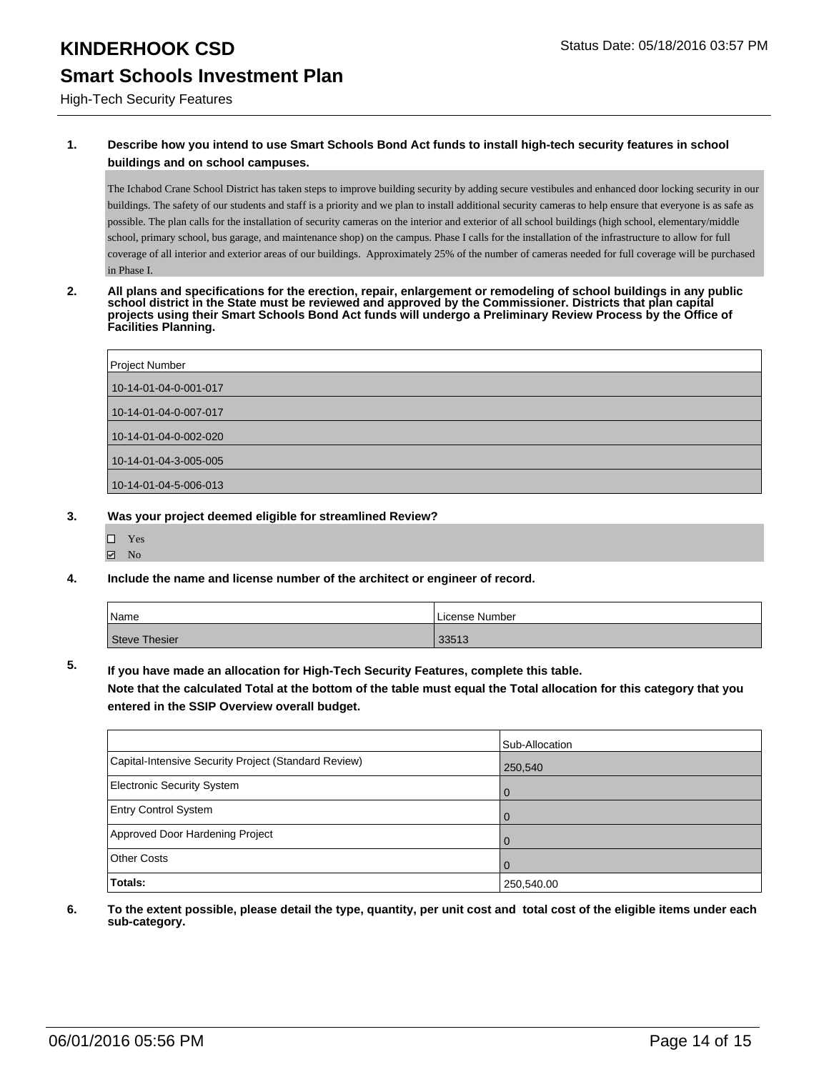High-Tech Security Features

### **1. Describe how you intend to use Smart Schools Bond Act funds to install high-tech security features in school buildings and on school campuses.**

The Ichabod Crane School District has taken steps to improve building security by adding secure vestibules and enhanced door locking security in our buildings. The safety of our students and staff is a priority and we plan to install additional security cameras to help ensure that everyone is as safe as possible. The plan calls for the installation of security cameras on the interior and exterior of all school buildings (high school, elementary/middle school, primary school, bus garage, and maintenance shop) on the campus. Phase I calls for the installation of the infrastructure to allow for full coverage of all interior and exterior areas of our buildings. Approximately 25% of the number of cameras needed for full coverage will be purchased in Phase I.

**2. All plans and specifications for the erection, repair, enlargement or remodeling of school buildings in any public school district in the State must be reviewed and approved by the Commissioner. Districts that plan capital projects using their Smart Schools Bond Act funds will undergo a Preliminary Review Process by the Office of Facilities Planning.** 

| Project Number        |
|-----------------------|
| 10-14-01-04-0-001-017 |
| 10-14-01-04-0-007-017 |
| 10-14-01-04-0-002-020 |
| 10-14-01-04-3-005-005 |
| 10-14-01-04-5-006-013 |

#### **3. Was your project deemed eligible for streamlined Review?**

- Yes
- $\boxdot$  No
- **4. Include the name and license number of the architect or engineer of record.**

| <i>N</i> ame  | License Number |
|---------------|----------------|
| Steve Thesier | 33513          |

**5. If you have made an allocation for High-Tech Security Features, complete this table.**

**Note that the calculated Total at the bottom of the table must equal the Total allocation for this category that you entered in the SSIP Overview overall budget.**

|                                                      | Sub-Allocation |
|------------------------------------------------------|----------------|
| Capital-Intensive Security Project (Standard Review) | 250,540        |
| <b>Electronic Security System</b>                    | l 0            |
| <b>Entry Control System</b>                          | l O            |
| Approved Door Hardening Project                      | $\Omega$       |
| <b>Other Costs</b>                                   | l 0            |
| Totals:                                              | 250,540.00     |